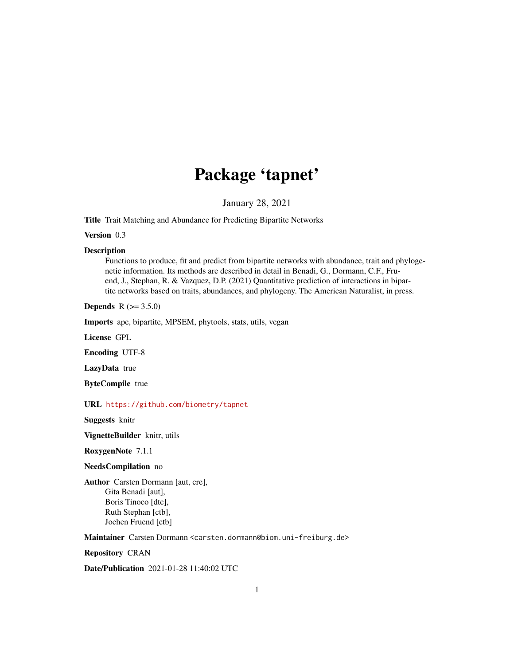# Package 'tapnet'

January 28, 2021

<span id="page-0-0"></span>Title Trait Matching and Abundance for Predicting Bipartite Networks

Version 0.3

#### Description

Functions to produce, fit and predict from bipartite networks with abundance, trait and phylogenetic information. Its methods are described in detail in Benadi, G., Dormann, C.F., Fruend, J., Stephan, R. & Vazquez, D.P. (2021) Quantitative prediction of interactions in bipartite networks based on traits, abundances, and phylogeny. The American Naturalist, in press.

**Depends** R  $(>= 3.5.0)$ 

Imports ape, bipartite, MPSEM, phytools, stats, utils, vegan

License GPL

Encoding UTF-8

LazyData true

ByteCompile true

URL <https://github.com/biometry/tapnet>

Suggests knitr

VignetteBuilder knitr, utils

RoxygenNote 7.1.1

# NeedsCompilation no

Author Carsten Dormann [aut, cre], Gita Benadi [aut], Boris Tinoco [dtc], Ruth Stephan [ctb], Jochen Fruend [ctb]

Maintainer Carsten Dormann <carsten.dormann@biom.uni-freiburg.de>

Repository CRAN

Date/Publication 2021-01-28 11:40:02 UTC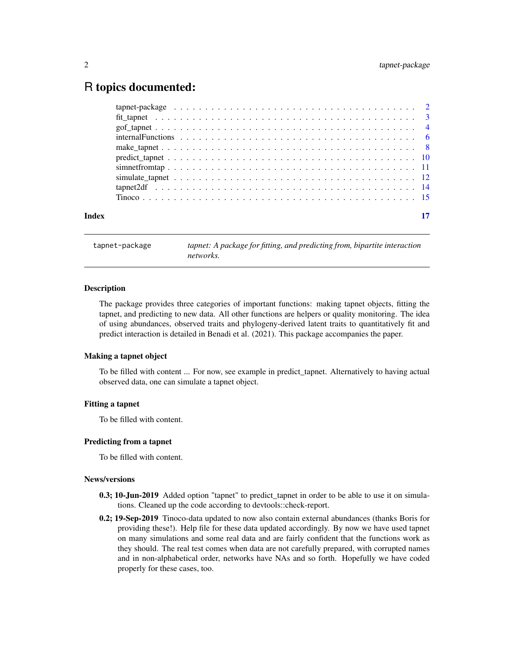# <span id="page-1-0"></span>R topics documented:

| Index |  |  |  |
|-------|--|--|--|

tapnet-package *tapnet: A package for fitting, and predicting from, bipartite interaction networks.*

#### Description

The package provides three categories of important functions: making tapnet objects, fitting the tapnet, and predicting to new data. All other functions are helpers or quality monitoring. The idea of using abundances, observed traits and phylogeny-derived latent traits to quantitatively fit and predict interaction is detailed in Benadi et al. (2021). This package accompanies the paper.

# Making a tapnet object

To be filled with content ... For now, see example in predict\_tapnet. Alternatively to having actual observed data, one can simulate a tapnet object.

#### Fitting a tapnet

To be filled with content.

#### Predicting from a tapnet

To be filled with content.

#### News/versions

- 0.3; 10-Jun-2019 Added option "tapnet" to predict\_tapnet in order to be able to use it on simulations. Cleaned up the code according to devtools::check-report.
- 0.2; 19-Sep-2019 Tinoco-data updated to now also contain external abundances (thanks Boris for providing these!). Help file for these data updated accordingly. By now we have used tapnet on many simulations and some real data and are fairly confident that the functions work as they should. The real test comes when data are not carefully prepared, with corrupted names and in non-alphabetical order, networks have NAs and so forth. Hopefully we have coded properly for these cases, too.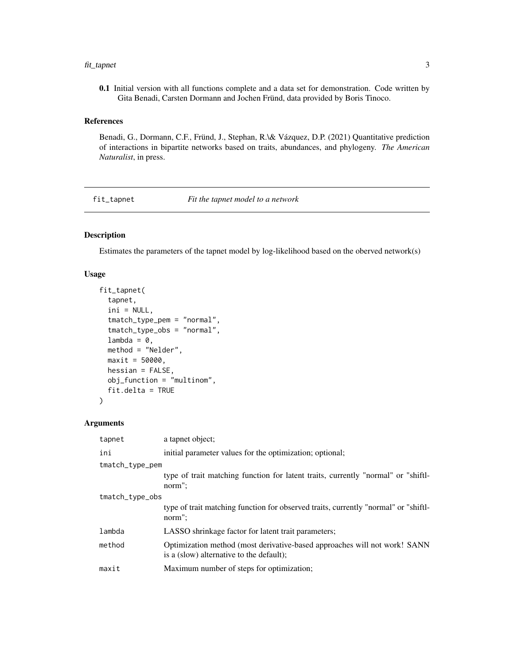#### <span id="page-2-0"></span>fit\_tapnet 3

0.1 Initial version with all functions complete and a data set for demonstration. Code written by Gita Benadi, Carsten Dormann and Jochen Fründ, data provided by Boris Tinoco.

#### References

Benadi, G., Dormann, C.F., Fründ, J., Stephan, R.\& Vázquez, D.P. (2021) Quantitative prediction of interactions in bipartite networks based on traits, abundances, and phylogeny. *The American Naturalist*, in press.

<span id="page-2-1"></span>fit\_tapnet *Fit the tapnet model to a network*

# Description

Estimates the parameters of the tapnet model by log-likelihood based on the oberved network(s)

# Usage

```
fit_tapnet(
  tapnet,
  ini = NULL,
  tmatch_type_pem = "normal",
  tmatch_type_obs = "normal",
  lambda = 0,
  method = "Nelder",
 maxit = 50000,hessian = FALSE,
  obj_function = "multinom",
  fit.delta = TRUE
)
```
# Arguments

| tapnet          | a tapnet object:                                                                                                      |  |
|-----------------|-----------------------------------------------------------------------------------------------------------------------|--|
| ini             | initial parameter values for the optimization; optional;                                                              |  |
| tmatch_type_pem |                                                                                                                       |  |
|                 | type of trait matching function for latent traits, currently "normal" or "shift-<br>norm":                            |  |
| tmatch_type_obs |                                                                                                                       |  |
|                 | type of trait matching function for observed traits, currently "normal" or "shift-<br>norm":                          |  |
| lambda          | LASSO shrinkage factor for latent trait parameters;                                                                   |  |
| method          | Optimization method (most derivative-based approaches will not work! SANN<br>is a (slow) alternative to the default); |  |
| maxit           | Maximum number of steps for optimization;                                                                             |  |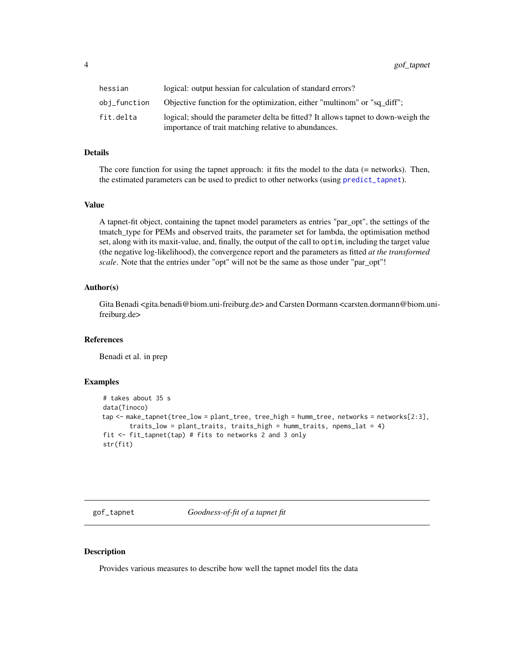<span id="page-3-0"></span>4 gof\_tapnet

| hessian      | logical: output hessian for calculation of standard errors?                                                                               |
|--------------|-------------------------------------------------------------------------------------------------------------------------------------------|
| obi_function | Objective function for the optimization, either "multinom" or "sq_diff";                                                                  |
| fit.delta    | logical; should the parameter delta be fitted? It allows tappet to down-weigh the<br>importance of trait matching relative to abundances. |

#### Details

The core function for using the tapnet approach: it fits the model to the data (= networks). Then, the estimated parameters can be used to predict to other networks (using [predict\\_tapnet](#page-9-1)).

#### Value

A tapnet-fit object, containing the tapnet model parameters as entries "par\_opt", the settings of the tmatch\_type for PEMs and observed traits, the parameter set for lambda, the optimisation method set, along with its maxit-value, and, finally, the output of the call to optim, including the target value (the negative log-likelihood), the convergence report and the parameters as fitted *at the transformed scale*. Note that the entries under "opt" will not be the same as those under "par\_opt"!

#### Author(s)

Gita Benadi <gita.benadi@biom.uni-freiburg.de> and Carsten Dormann <carsten.dormann@biom.unifreiburg.de>

#### References

Benadi et al. in prep

#### Examples

```
# takes about 35 s
data(Tinoco)
tap <- make_tapnet(tree_low = plant_tree, tree_high = humm_tree, networks = networks[2:3],
       traits_low = plant_traits, traits_high = humm_traits, npems_lat = 4)
fit <- fit_tapnet(tap) # fits to networks 2 and 3 only
str(fit)
```
gof\_tapnet *Goodness-of-fit of a tapnet fit*

#### Description

Provides various measures to describe how well the tapnet model fits the data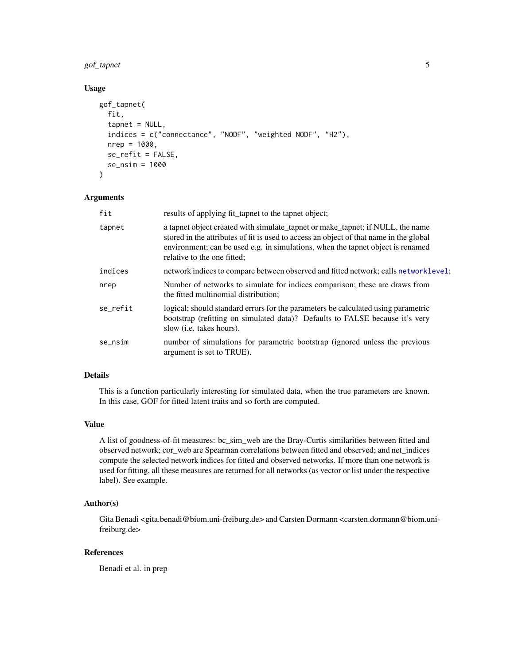<span id="page-4-0"></span>gof\_tapnet 5

# Usage

```
gof_tapnet(
  fit,
  tapnet = NULL,
  indices = c("connectance", "NODF", "weighted NODF", "H2"),
  nrep = 1000,se_refit = FALSE,
  se_nsim = 1000
)
```
# Arguments

| fit      | results of applying fit_tapnet to the tapnet object;                                                                                                                                                                                                                                       |
|----------|--------------------------------------------------------------------------------------------------------------------------------------------------------------------------------------------------------------------------------------------------------------------------------------------|
| tapnet   | a tapnet object created with simulate tapnet or make tapnet; if NULL, the name<br>stored in the attributes of fit is used to access an object of that name in the global<br>environment; can be used e.g. in simulations, when the tapnet object is renamed<br>relative to the one fitted; |
| indices  | network indices to compare between observed and fitted network; calls networklevel;                                                                                                                                                                                                        |
| nrep     | Number of networks to simulate for indices comparison; these are draws from<br>the fitted multinomial distribution;                                                                                                                                                                        |
| se refit | logical; should standard errors for the parameters be calculated using parametric<br>bootstrap (refitting on simulated data)? Defaults to FALSE because it's very<br>slow ( <i>i.e.</i> takes hours).                                                                                      |
| se_nsim  | number of simulations for parametric bootstrap (ignored unless the previous<br>argument is set to TRUE).                                                                                                                                                                                   |

# Details

This is a function particularly interesting for simulated data, when the true parameters are known. In this case, GOF for fitted latent traits and so forth are computed.

# Value

A list of goodness-of-fit measures: bc\_sim\_web are the Bray-Curtis similarities between fitted and observed network; cor\_web are Spearman correlations between fitted and observed; and net\_indices compute the selected network indices for fitted and observed networks. If more than one network is used for fitting, all these measures are returned for all networks (as vector or list under the respective label). See example.

# Author(s)

Gita Benadi <gita.benadi@biom.uni-freiburg.de> and Carsten Dormann <carsten.dormann@biom.unifreiburg.de>

# References

Benadi et al. in prep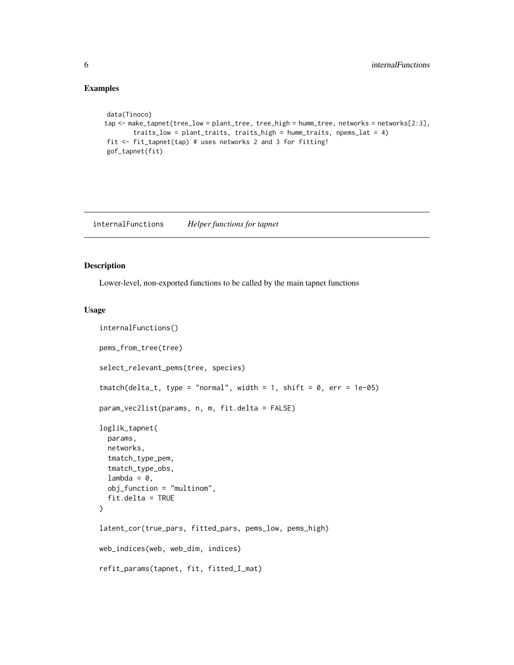# Examples

```
data(Tinoco)
tap <- make_tapnet(tree_low = plant_tree, tree_high = humm_tree, networks = networks[2:3],
       traits_low = plant_traits, traits_high = humm_traits, npems_lat = 4)
fit <- fit_tapnet(tap) # uses networks 2 and 3 for fitting!
gof_tapnet(fit)
```
internalFunctions *Helper functions for tapnet*

#### <span id="page-5-1"></span>Description

Lower-level, non-exported functions to be called by the main tapnet functions

#### Usage

```
internalFunctions()
pems_from_tree(tree)
select_relevant_pems(tree, species)
tmatch(detta_t, type = "normal", width = 1, shift = 0, err = 1e-05)param_vec2list(params, n, m, fit.delta = FALSE)
loglik_tapnet(
 params,
 networks,
  tmatch_type_pem,
  tmatch_type_obs,
  lambda = 0,
 obj_function = "multinom",
  fit.delta = TRUE
\mathcal{L}latent_cor(true_pars, fitted_pars, pems_low, pems_high)
web_indices(web, web_dim, indices)
refit_params(tapnet, fit, fitted_I_mat)
```
<span id="page-5-0"></span>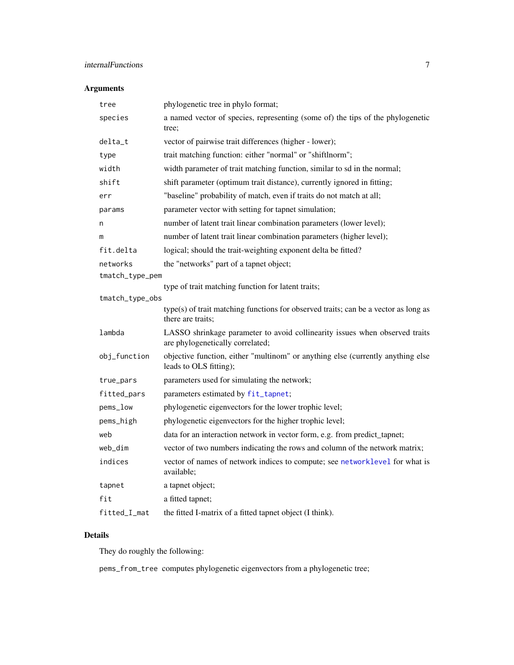# <span id="page-6-0"></span>internalFunctions 7

# Arguments

| tree            | phylogenetic tree in phylo format;                                                                              |
|-----------------|-----------------------------------------------------------------------------------------------------------------|
| species         | a named vector of species, representing (some of) the tips of the phylogenetic<br>tree;                         |
| delta_t         | vector of pairwise trait differences (higher - lower);                                                          |
| type            | trait matching function: either "normal" or "shiftlnorm";                                                       |
| width           | width parameter of trait matching function, similar to sd in the normal;                                        |
| shift           | shift parameter (optimum trait distance), currently ignored in fitting;                                         |
| err             | "baseline" probability of match, even if traits do not match at all;                                            |
| params          | parameter vector with setting for tapnet simulation;                                                            |
| n               | number of latent trait linear combination parameters (lower level);                                             |
| m               | number of latent trait linear combination parameters (higher level);                                            |
| fit.delta       | logical; should the trait-weighting exponent delta be fitted?                                                   |
| networks        | the "networks" part of a tapnet object;                                                                         |
| tmatch_type_pem |                                                                                                                 |
|                 | type of trait matching function for latent traits;                                                              |
| tmatch_type_obs | type(s) of trait matching functions for observed traits; can be a vector as long as<br>there are traits;        |
| lambda          | LASSO shrinkage parameter to avoid collinearity issues when observed traits<br>are phylogenetically correlated; |
| obj_function    | objective function, either "multinom" or anything else (currently anything else<br>leads to OLS fitting);       |
| true_pars       | parameters used for simulating the network;                                                                     |
| fitted_pars     | parameters estimated by fit_tapnet;                                                                             |
| pems_low        | phylogenetic eigenvectors for the lower trophic level;                                                          |
| pems_high       | phylogenetic eigenvectors for the higher trophic level;                                                         |
| web             | data for an interaction network in vector form, e.g. from predict_tapnet;                                       |
| web_dim         | vector of two numbers indicating the rows and column of the network matrix;                                     |
| indices         | vector of names of network indices to compute; see networklevel for what is<br>available;                       |
| tapnet          | a tapnet object;                                                                                                |
| fit             | a fitted tapnet;                                                                                                |
| fitted_I_mat    | the fitted I-matrix of a fitted tapnet object (I think).                                                        |

# Details

They do roughly the following:

pems\_from\_tree computes phylogenetic eigenvectors from a phylogenetic tree;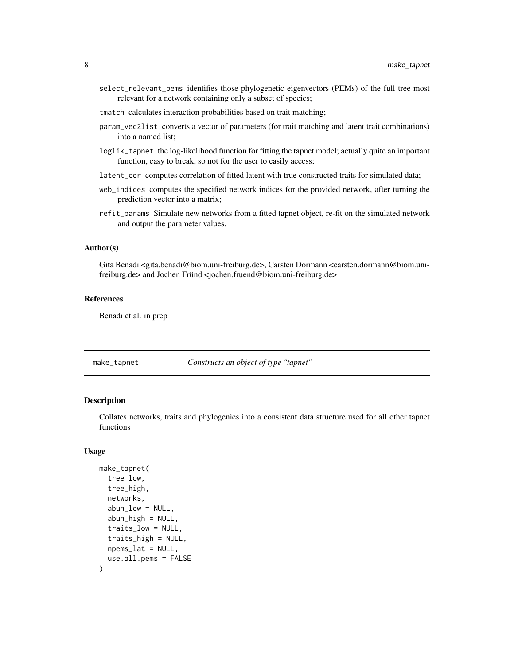- <span id="page-7-0"></span>select\_relevant\_pems identifies those phylogenetic eigenvectors (PEMs) of the full tree most relevant for a network containing only a subset of species;
- tmatch calculates interaction probabilities based on trait matching;
- param\_vec2list converts a vector of parameters (for trait matching and latent trait combinations) into a named list;
- loglik\_tapnet the log-likelihood function for fitting the tapnet model; actually quite an important function, easy to break, so not for the user to easily access;
- latent\_cor computes correlation of fitted latent with true constructed traits for simulated data;
- web\_indices computes the specified network indices for the provided network, after turning the prediction vector into a matrix;
- refit\_params Simulate new networks from a fitted tapnet object, re-fit on the simulated network and output the parameter values.

#### Author(s)

Gita Benadi <gita.benadi@biom.uni-freiburg.de>, Carsten Dormann <carsten.dormann@biom.unifreiburg.de> and Jochen Fründ <jochen.fruend@biom.uni-freiburg.de>

#### References

Benadi et al. in prep

<span id="page-7-1"></span>make\_tapnet *Constructs an object of type "tapnet"*

#### Description

Collates networks, traits and phylogenies into a consistent data structure used for all other tapnet functions

#### Usage

```
make_tapnet(
  tree_low,
  tree_high,
  networks,
  abun_low = NULL,abun_{\text{high}} = NULL,
  traits_low = NULL,
  traits_high = NULL,
  npems_lat = NULL,
  use.all.pems = FALSE
)
```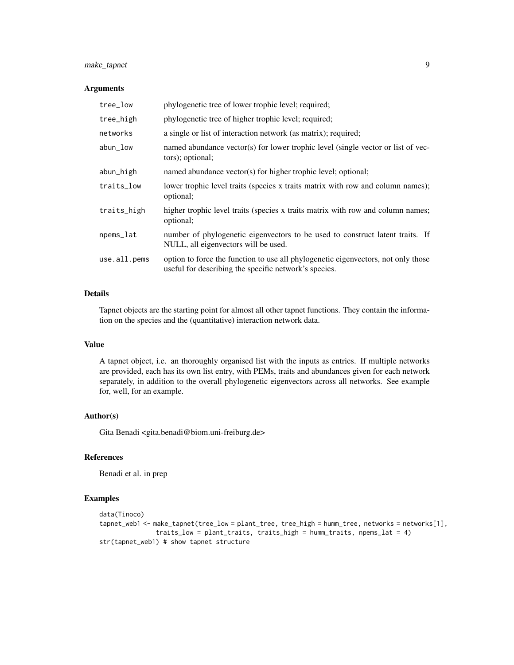# make\_tapnet 9

#### Arguments

| tree_low     | phylogenetic tree of lower trophic level; required;                                                                                        |
|--------------|--------------------------------------------------------------------------------------------------------------------------------------------|
| tree_high    | phylogenetic tree of higher trophic level; required;                                                                                       |
| networks     | a single or list of interaction network (as matrix); required;                                                                             |
| abun_low     | named abundance vector(s) for lower trophic level (single vector or list of vec-<br>tors); optional;                                       |
| abun_high    | named abundance vector(s) for higher trophic level; optional;                                                                              |
| traits_low   | lower trophic level traits (species x traits matrix with row and column names);<br>optional;                                               |
| traits_high  | higher trophic level traits (species x traits matrix with row and column names;<br>optional;                                               |
| npems_lat    | number of phylogenetic eigenvectors to be used to construct latent traits. If<br>NULL, all eigenvectors will be used.                      |
| use.all.pems | option to force the function to use all phylogenetic eigenvectors, not only those<br>useful for describing the specific network's species. |

# Details

Tapnet objects are the starting point for almost all other tapnet functions. They contain the information on the species and the (quantitative) interaction network data.

## Value

A tapnet object, i.e. an thoroughly organised list with the inputs as entries. If multiple networks are provided, each has its own list entry, with PEMs, traits and abundances given for each network separately, in addition to the overall phylogenetic eigenvectors across all networks. See example for, well, for an example.

#### Author(s)

Gita Benadi <gita.benadi@biom.uni-freiburg.de>

# References

Benadi et al. in prep

# Examples

```
data(Tinoco)
tapnet_web1 <- make_tapnet(tree_low = plant_tree, tree_high = humm_tree, networks = networks[1],
               traits_low = plant_traits, traits_high = humm_traits, npems_lat = 4)
str(tapnet_web1) # show tapnet structure
```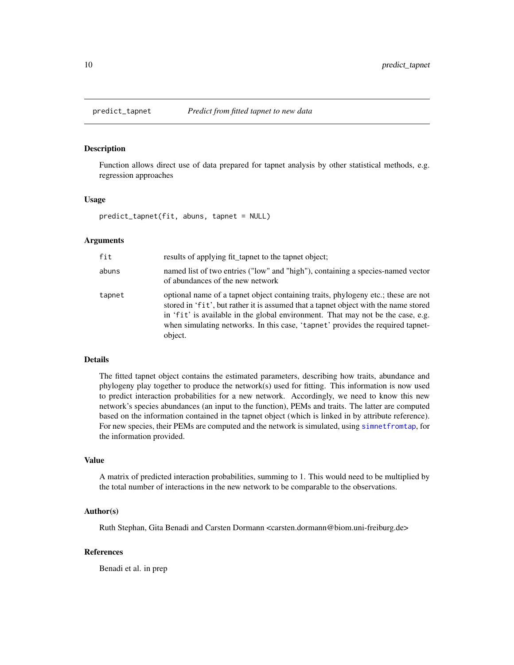<span id="page-9-1"></span><span id="page-9-0"></span>

# Description

Function allows direct use of data prepared for tapnet analysis by other statistical methods, e.g. regression approaches

#### Usage

predict\_tapnet(fit, abuns, tapnet = NULL)

# Arguments

| fit    | results of applying fit_tapnet to the tapnet object;                                                                                                                                                                                                                                                                                                     |
|--------|----------------------------------------------------------------------------------------------------------------------------------------------------------------------------------------------------------------------------------------------------------------------------------------------------------------------------------------------------------|
| abuns  | named list of two entries ("low" and "high"), containing a species-named vector<br>of abundances of the new network                                                                                                                                                                                                                                      |
| tapnet | optional name of a tapnet object containing traits, phylogeny etc.; these are not<br>stored in 'fit', but rather it is assumed that a tapnet object with the name stored<br>in 'fit' is available in the global environment. That may not be the case, e.g.<br>when simulating networks. In this case, 'tapnet' provides the required tapnet-<br>object. |

#### Details

The fitted tapnet object contains the estimated parameters, describing how traits, abundance and phylogeny play together to produce the network(s) used for fitting. This information is now used to predict interaction probabilities for a new network. Accordingly, we need to know this new network's species abundances (an input to the function), PEMs and traits. The latter are computed based on the information contained in the tapnet object (which is linked in by attribute reference). For new species, their PEMs are computed and the network is simulated, using [simnetfromtap](#page-10-1), for the information provided.

#### Value

A matrix of predicted interaction probabilities, summing to 1. This would need to be multiplied by the total number of interactions in the new network to be comparable to the observations.

# Author(s)

Ruth Stephan, Gita Benadi and Carsten Dormann <carsten.dormann@biom.uni-freiburg.de>

#### References

Benadi et al. in prep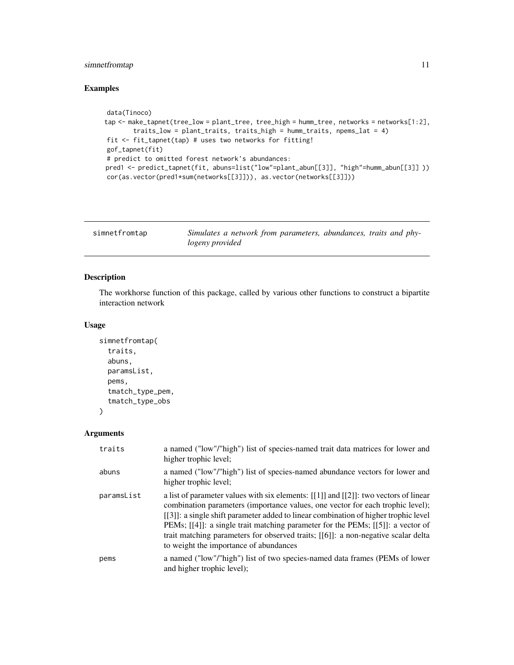# <span id="page-10-0"></span>simnetfromtap 11

# Examples

```
data(Tinoco)
tap <- make_tapnet(tree_low = plant_tree, tree_high = humm_tree, networks = networks[1:2],
       traits_low = plant_traits, traits_high = humm_traits, npems_lat = 4)
fit <- fit_tapnet(tap) # uses two networks for fitting!
gof_tapnet(fit)
# predict to omitted forest network's abundances:
pred1 <- predict_tapnet(fit, abuns=list("low"=plant_abun[[3]], "high"=humm_abun[[3]] ))
cor(as.vector(pred1*sum(networks[[3]])), as.vector(networks[[3]]))
```
<span id="page-10-1"></span>

| simnetfromtap | Simulates a network from parameters, abundances, traits and phy- |  |
|---------------|------------------------------------------------------------------|--|
|               | logeny provided                                                  |  |

# Description

The workhorse function of this package, called by various other functions to construct a bipartite interaction network

# Usage

```
simnetfromtap(
  traits,
  abuns,
 paramsList,
  pems,
  tmatch_type_pem,
  tmatch_type_obs
\mathcal{L}
```
Arguments

| traits     | a named ("low"/"high") list of species-named trait data matrices for lower and<br>higher trophic level;                                                                                                                                                                                                                                                                                                                                                                              |
|------------|--------------------------------------------------------------------------------------------------------------------------------------------------------------------------------------------------------------------------------------------------------------------------------------------------------------------------------------------------------------------------------------------------------------------------------------------------------------------------------------|
| abuns      | a named ("low"/"high") list of species-named abundance vectors for lower and<br>higher trophic level;                                                                                                                                                                                                                                                                                                                                                                                |
| paramsList | a list of parameter values with six elements: $[[1]]$ and $[[2]]$ : two vectors of linear<br>combination parameters (importance values, one vector for each trophic level);<br>[[3]]: a single shift parameter added to linear combination of higher trophic level<br>PEMs; [[4]]: a single trait matching parameter for the PEMs; [[5]]: a vector of<br>trait matching parameters for observed traits; [[6]]: a non-negative scalar delta<br>to weight the importance of abundances |
| pems       | a named ("low"/"high") list of two species-named data frames (PEMs of lower<br>and higher trophic level);                                                                                                                                                                                                                                                                                                                                                                            |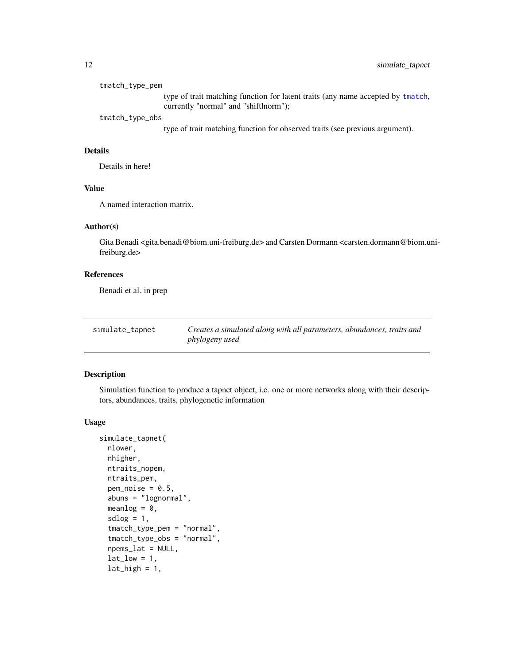<span id="page-11-0"></span>

| tmatch_type_pem                                                                 |  |
|---------------------------------------------------------------------------------|--|
| type of trait matching function for latent traits (any name accepted by tmatch, |  |
| currently "normal" and "shiftlnorm");                                           |  |
| tmatch_type_obs                                                                 |  |
| type of trait matching function for observed traits (see previous argument).    |  |

# Details

Details in here!

# Value

A named interaction matrix.

# Author(s)

Gita Benadi <gita.benadi@biom.uni-freiburg.de> and Carsten Dormann <carsten.dormann@biom.unifreiburg.de>

# References

Benadi et al. in prep

| simulate_tapnet | Creates a simulated along with all parameters, abundances, traits and |
|-----------------|-----------------------------------------------------------------------|
|                 | phylogeny used                                                        |

# Description

Simulation function to produce a tapnet object, i.e. one or more networks along with their descriptors, abundances, traits, phylogenetic information

#### Usage

```
simulate_tapnet(
 nlower,
 nhigher,
 ntraits_nopem,
 ntraits_pem,
 pem\_noise = 0.5,
  abuns = "lognormal",
 meanlog = 0,
  sdlog = 1,
  tmatch_type_pem = "normal",
  tmatch_type_obs = "normal",
  npems_lat = NULL,
  lat_low = 1,
  lat\_high = 1,
```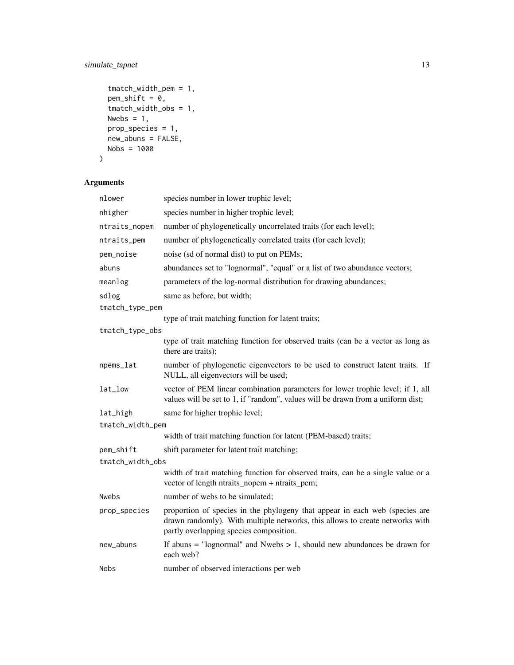# simulate\_tapnet 13

```
tmatch_width_pem = 1,
pem\_shift = 0,tmatch_width_obs = 1,
Nwebs = 1,
prop_species = 1,
new_abuns = FALSE,
Nobs = 1000
```
# Arguments

 $\mathcal{L}$ 

| nlower           | species number in lower trophic level;                                                                                                                                                                 |
|------------------|--------------------------------------------------------------------------------------------------------------------------------------------------------------------------------------------------------|
| nhigher          | species number in higher trophic level;                                                                                                                                                                |
| ntraits_nopem    | number of phylogenetically uncorrelated traits (for each level);                                                                                                                                       |
| ntraits_pem      | number of phylogenetically correlated traits (for each level);                                                                                                                                         |
| pem_noise        | noise (sd of normal dist) to put on PEMs;                                                                                                                                                              |
| abuns            | abundances set to "lognormal", "equal" or a list of two abundance vectors;                                                                                                                             |
| meanlog          | parameters of the log-normal distribution for drawing abundances;                                                                                                                                      |
| sdlog            | same as before, but width;                                                                                                                                                                             |
| tmatch_type_pem  |                                                                                                                                                                                                        |
|                  | type of trait matching function for latent traits;                                                                                                                                                     |
| tmatch_type_obs  |                                                                                                                                                                                                        |
|                  | type of trait matching function for observed traits (can be a vector as long as<br>there are traits);                                                                                                  |
| npems_lat        | number of phylogenetic eigenvectors to be used to construct latent traits. If<br>NULL, all eigenvectors will be used;                                                                                  |
| lat_low          | vector of PEM linear combination parameters for lower trophic level; if 1, all<br>values will be set to 1, if "random", values will be drawn from a uniform dist;                                      |
| lat_high         | same for higher trophic level;                                                                                                                                                                         |
| tmatch_width_pem |                                                                                                                                                                                                        |
|                  | width of trait matching function for latent (PEM-based) traits;                                                                                                                                        |
| pem_shift        | shift parameter for latent trait matching;                                                                                                                                                             |
| tmatch_width_obs |                                                                                                                                                                                                        |
|                  | width of trait matching function for observed traits, can be a single value or a<br>vector of length ntraits_nopem + ntraits_pem;                                                                      |
| <b>Nwebs</b>     | number of webs to be simulated;                                                                                                                                                                        |
| prop_species     | proportion of species in the phylogeny that appear in each web (species are<br>drawn randomly). With multiple networks, this allows to create networks with<br>partly overlapping species composition. |
| new_abuns        | If abuns $=$ "lognormal" and Nwebs $> 1$ , should new abundances be drawn for<br>each web?                                                                                                             |
| Nobs             | number of observed interactions per web                                                                                                                                                                |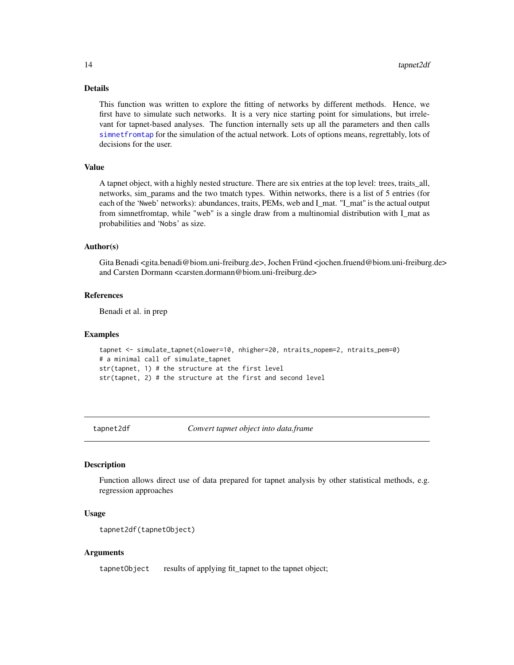#### Details

This function was written to explore the fitting of networks by different methods. Hence, we first have to simulate such networks. It is a very nice starting point for simulations, but irrelevant for tapnet-based analyses. The function internally sets up all the parameters and then calls [simnetfromtap](#page-10-1) for the simulation of the actual network. Lots of options means, regrettably, lots of decisions for the user.

# Value

A tapnet object, with a highly nested structure. There are six entries at the top level: trees, traits\_all, networks, sim\_params and the two tmatch types. Within networks, there is a list of 5 entries (for each of the 'Nweb' networks): abundances, traits, PEMs, web and I\_mat. "I\_mat" is the actual output from simnetfromtap, while "web" is a single draw from a multinomial distribution with I\_mat as probabilities and 'Nobs' as size.

#### Author(s)

Gita Benadi <gita.benadi@biom.uni-freiburg.de>, Jochen Fründ <jochen.fruend@biom.uni-freiburg.de> and Carsten Dormann <carsten.dormann@biom.uni-freiburg.de>

# References

Benadi et al. in prep

#### Examples

```
tapnet <- simulate_tapnet(nlower=10, nhigher=20, ntraits_nopem=2, ntraits_pem=0)
# a minimal call of simulate_tapnet
str(tapnet, 1) # the structure at the first level
str(tapnet, 2) # the structure at the first and second level
```
tapnet2df *Convert tapnet object into data.frame*

#### **Description**

Function allows direct use of data prepared for tapnet analysis by other statistical methods, e.g. regression approaches

# Usage

```
tapnet2df(tapnetObject)
```
# Arguments

tapnetObject results of applying fit\_tapnet to the tapnet object;

<span id="page-13-0"></span>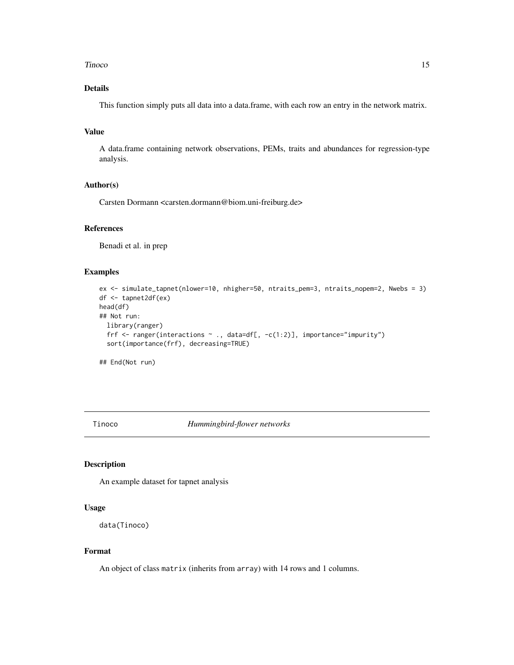#### <span id="page-14-0"></span>Tinoco and the state of the state of the state of the state of the state of the state of the state of the state of the state of the state of the state of the state of the state of the state of the state of the state of the

# Details

This function simply puts all data into a data.frame, with each row an entry in the network matrix.

# Value

A data.frame containing network observations, PEMs, traits and abundances for regression-type analysis.

# Author(s)

Carsten Dormann <carsten.dormann@biom.uni-freiburg.de>

#### References

Benadi et al. in prep

# Examples

```
ex <- simulate_tapnet(nlower=10, nhigher=50, ntraits_pem=3, ntraits_nopem=2, Nwebs = 3)
df <- tapnet2df(ex)
head(df)
## Not run:
  library(ranger)
  frf \leq ranger(interactions \sim ., data=df[, -c(1:2)], importance="impurity")
  sort(importance(frf), decreasing=TRUE)
```
## End(Not run)

Tinoco *Hummingbird-flower networks*

# Description

An example dataset for tapnet analysis

#### Usage

```
data(Tinoco)
```
#### Format

An object of class matrix (inherits from array) with 14 rows and 1 columns.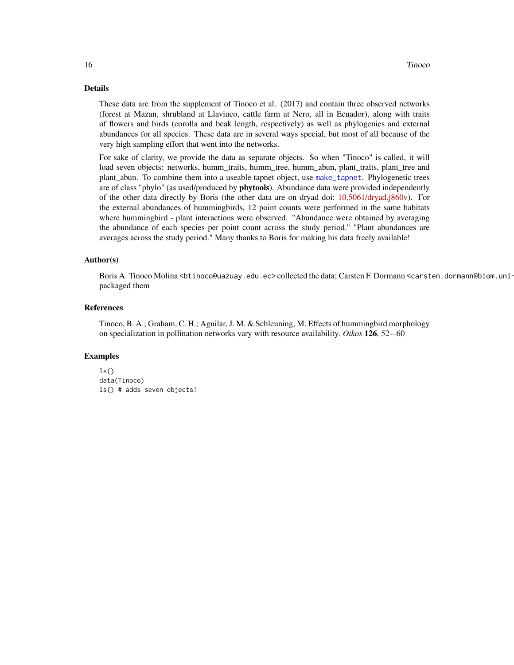#### <span id="page-15-0"></span>Details

These data are from the supplement of Tinoco et al. (2017) and contain three observed networks (forest at Mazan, shrubland at Llaviuco, cattle farm at Nero, all in Ecuador), along with traits of flowers and birds (corolla and beak length, respectively) as well as phylogenies and external abundances for all species. These data are in several ways special, but most of all because of the very high sampling effort that went into the networks.

For sake of clarity, we provide the data as separate objects. So when "Tinoco" is called, it will load seven objects: networks, humm\_traits, humm\_tree, humm\_abun, plant\_traits, plant\_tree and plant\_abun. To combine them into a useable tapnet object, use [make\\_tapnet](#page-7-1). Phylogenetic trees are of class "phylo" (as used/produced by **phytools**). Abundance data were provided independently of the other data directly by Boris (the other data are on dryad doi: [10.5061/dryad.j860v\)](https://doi.org/10.5061/dryad.j860v). For the external abundances of hummingbirds, 12 point counts were performed in the same habitats where hummingbird - plant interactions were observed. "Abundance were obtained by averaging the abundance of each species per point count across the study period." "Plant abundances are averages across the study period." Many thanks to Boris for making his data freely available!

#### Author(s)

Boris A. Tinoco Molina <br />
thoco@uazuay.edu.ec>collected the data; Carsten F. Dormann <carsten.dormann@biom.unipackaged them

#### References

Tinoco, B. A.; Graham, C. H.; Aguilar, J. M. & Schleuning, M. Effects of hummingbird morphology on specialization in pollination networks vary with resource availability. *Oikos* 126, 52-–60

#### Examples

```
ls()data(Tinoco)
ls() # adds seven objects!
```